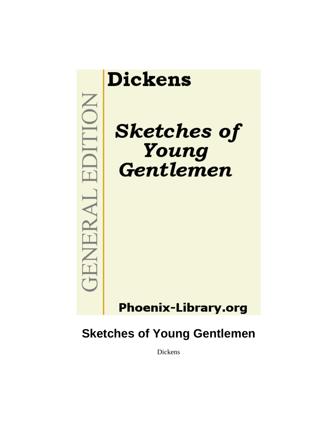

# **Sketches of Young Gentlemen**

Dickens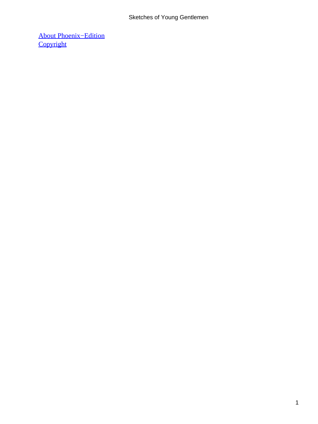[About Phoenix−Edition](#page-35-0) **[Copyright](#page-36-0)**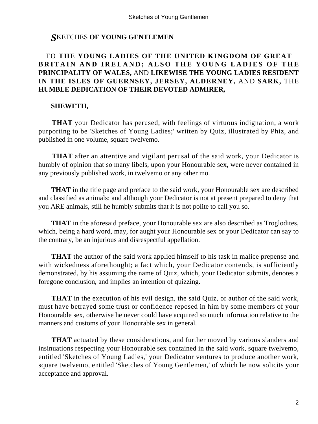#### *S*KETCHES **OF YOUNG GENTLEMEN**

## TO **THE YOUNG LADIES OF THE UNITED KINGDOM OF GREAT BRITAIN AND IRELAND; ALSO THE YOUNG LADIES OF THE PRINCIPALITY OF WALES,** AND **LIKEWISE THE YOUNG LADIES RESIDENT IN THE ISLES OF GUERNSEY, JERSEY, ALDERNEY,** AND **SARK,** THE **HUMBLE DEDICATION OF THEIR DEVOTED ADMIRER,**

#### **SHEWETH,** −

**THAT** your Dedicator has perused, with feelings of virtuous indignation, a work purporting to be 'Sketches of Young Ladies;' written by Quiz, illustrated by Phiz, and published in one volume, square twelvemo.

**THAT** after an attentive and vigilant perusal of the said work, your Dedicator is humbly of opinion that so many libels, upon your Honourable sex, were never contained in any previously published work, in twelvemo or any other mo.

**THAT** in the title page and preface to the said work, your Honourable sex are described and classified as animals; and although your Dedicator is not at present prepared to deny that you ARE animals, still he humbly submits that it is not polite to call you so.

**THAT** in the aforesaid preface, your Honourable sex are also described as Troglodites, which, being a hard word, may, for aught your Honourable sex or your Dedicator can say to the contrary, be an injurious and disrespectful appellation.

**THAT** the author of the said work applied himself to his task in malice prepense and with wickedness aforethought; a fact which, your Dedicator contends, is sufficiently demonstrated, by his assuming the name of Quiz, which, your Dedicator submits, denotes a foregone conclusion, and implies an intention of quizzing.

**THAT** in the execution of his evil design, the said Quiz, or author of the said work, must have betrayed some trust or confidence reposed in him by some members of your Honourable sex, otherwise he never could have acquired so much information relative to the manners and customs of your Honourable sex in general.

**THAT** actuated by these considerations, and further moved by various slanders and insinuations respecting your Honourable sex contained in the said work, square twelvemo, entitled 'Sketches of Young Ladies,' your Dedicator ventures to produce another work, square twelvemo, entitled 'Sketches of Young Gentlemen,' of which he now solicits your acceptance and approval.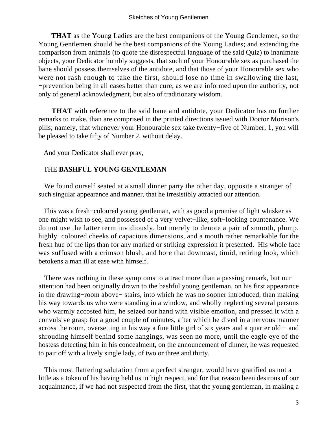**THAT** as the Young Ladies are the best companions of the Young Gentlemen, so the Young Gentlemen should be the best companions of the Young Ladies; and extending the comparison from animals (to quote the disrespectful language of the said Quiz) to inanimate objects, your Dedicator humbly suggests, that such of your Honourable sex as purchased the bane should possess themselves of the antidote, and that those of your Honourable sex who were not rash enough to take the first, should lose no time in swallowing the last, −prevention being in all cases better than cure, as we are informed upon the authority, not only of general acknowledgment, but also of traditionary wisdom.

**THAT** with reference to the said bane and antidote, your Dedicator has no further remarks to make, than are comprised in the printed directions issued with Doctor Morison's pills; namely, that whenever your Honourable sex take twenty−five of Number, 1, you will be pleased to take fifty of Number 2, without delay.

And your Dedicator shall ever pray,

## THE **BASHFUL YOUNG GENTLEMAN**

 We found ourself seated at a small dinner party the other day, opposite a stranger of such singular appearance and manner, that he irresistibly attracted our attention.

 This was a fresh−coloured young gentleman, with as good a promise of light whisker as one might wish to see, and possessed of a very velvet−like, soft−looking countenance. We do not use the latter term invidiously, but merely to denote a pair of smooth, plump, highly−coloured cheeks of capacious dimensions, and a mouth rather remarkable for the fresh hue of the lips than for any marked or striking expression it presented. His whole face was suffused with a crimson blush, and bore that downcast, timid, retiring look, which betokens a man ill at ease with himself.

 There was nothing in these symptoms to attract more than a passing remark, but our attention had been originally drawn to the bashful young gentleman, on his first appearance in the drawing−room above− stairs, into which he was no sooner introduced, than making his way towards us who were standing in a window, and wholly neglecting several persons who warmly accosted him, he seized our hand with visible emotion, and pressed it with a convulsive grasp for a good couple of minutes, after which he dived in a nervous manner across the room, oversetting in his way a fine little girl of six years and a quarter old − and shrouding himself behind some hangings, was seen no more, until the eagle eye of the hostess detecting him in his concealment, on the announcement of dinner, he was requested to pair off with a lively single lady, of two or three and thirty.

 This most flattering salutation from a perfect stranger, would have gratified us not a little as a token of his having held us in high respect, and for that reason been desirous of our acquaintance, if we had not suspected from the first, that the young gentleman, in making a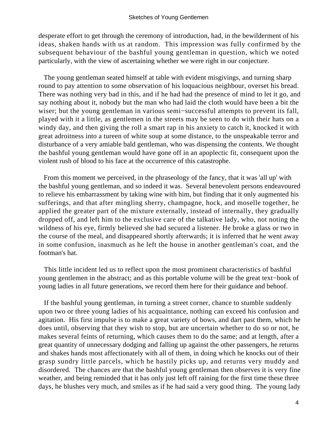desperate effort to get through the ceremony of introduction, had, in the bewilderment of his ideas, shaken hands with us at random. This impression was fully confirmed by the subsequent behaviour of the bashful young gentleman in question, which we noted particularly, with the view of ascertaining whether we were right in our conjecture.

 The young gentleman seated himself at table with evident misgivings, and turning sharp round to pay attention to some observation of his loquacious neighbour, overset his bread. There was nothing very bad in this, and if he had had the presence of mind to let it go, and say nothing about it, nobody but the man who had laid the cloth would have been a bit the wiser; but the young gentleman in various semi−successful attempts to prevent its fall, played with it a little, as gentlemen in the streets may be seen to do with their hats on a windy day, and then giving the roll a smart rap in his anxiety to catch it, knocked it with great adroitness into a tureen of white soup at some distance, to the unspeakable terror and disturbance of a very amiable bald gentleman, who was dispensing the contents. We thought the bashful young gentleman would have gone off in an apoplectic fit, consequent upon the violent rush of blood to his face at the occurrence of this catastrophe.

 From this moment we perceived, in the phraseology of the fancy, that it was 'all up' with the bashful young gentleman, and so indeed it was. Several benevolent persons endeavoured to relieve his embarrassment by taking wine with him, but finding that it only augmented his sufferings, and that after mingling sherry, champagne, hock, and moselle together, he applied the greater part of the mixture externally, instead of internally, they gradually dropped off, and left him to the exclusive care of the talkative lady, who, not noting the wildness of his eye, firmly believed she had secured a listener. He broke a glass or two in the course of the meal, and disappeared shortly afterwards; it is inferred that he went away in some confusion, inasmuch as he left the house in another gentleman's coat, and the footman's hat.

 This little incident led us to reflect upon the most prominent characteristics of bashful young gentlemen in the abstract; and as this portable volume will be the great text−book of young ladies in all future generations, we record them here for their guidance and behoof.

 If the bashful young gentleman, in turning a street corner, chance to stumble suddenly upon two or three young ladies of his acquaintance, nothing can exceed his confusion and agitation. His first impulse is to make a great variety of bows, and dart past them, which he does until, observing that they wish to stop, but are uncertain whether to do so or not, he makes several feints of returning, which causes them to do the same; and at length, after a great quantity of unnecessary dodging and falling up against the other passengers, he returns and shakes hands most affectionately with all of them, in doing which he knocks out of their grasp sundry little parcels, which he hastily picks up, and returns very muddy and disordered. The chances are that the bashful young gentleman then observes it is very fine weather, and being reminded that it has only just left off raining for the first time these three days, he blushes very much, and smiles as if he had said a very good thing. The young lady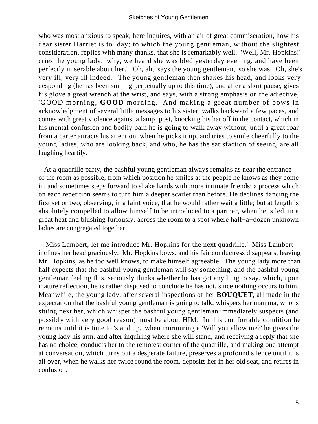who was most anxious to speak, here inquires, with an air of great commiseration, how his dear sister Harriet is to−day; to which the young gentleman, without the slightest consideration, replies with many thanks, that she is remarkably well. 'Well, Mr. Hopkins!' cries the young lady, 'why, we heard she was bled yesterday evening, and have been perfectly miserable about her.' 'Oh, ah,' says the young gentleman, 'so she was. Oh, she's very ill, very ill indeed.' The young gentleman then shakes his head, and looks very desponding (he has been smiling perpetually up to this time), and after a short pause, gives his glove a great wrench at the wrist, and says, with a strong emphasis on the adjective, 'GOOD morning, **GOOD** morning.' And making a great number of bows in acknowledgment of several little messages to his sister, walks backward a few paces, and comes with great violence against a lamp−post, knocking his hat off in the contact, which in his mental confusion and bodily pain he is going to walk away without, until a great roar from a carter attracts his attention, when he picks it up, and tries to smile cheerfully to the young ladies, who are looking back, and who, he has the satisfaction of seeing, are all laughing heartily.

 At a quadrille party, the bashful young gentleman always remains as near the entrance of the room as possible, from which position he smiles at the people he knows as they come in, and sometimes steps forward to shake hands with more intimate friends: a process which on each repetition seems to turn him a deeper scarlet than before. He declines dancing the first set or two, observing, in a faint voice, that he would rather wait a little; but at length is absolutely compelled to allow himself to be introduced to a partner, when he is led, in a great heat and blushing furiously, across the room to a spot where half−a−dozen unknown ladies are congregated together.

 'Miss Lambert, let me introduce Mr. Hopkins for the next quadrille.' Miss Lambert inclines her head graciously. Mr. Hopkins bows, and his fair conductress disappears, leaving Mr. Hopkins, as he too well knows, to make himself agreeable. The young lady more than half expects that the bashful young gentleman will say something, and the bashful young gentleman feeling this, seriously thinks whether he has got anything to say, which, upon mature reflection, he is rather disposed to conclude he has not, since nothing occurs to him. Meanwhile, the young lady, after several inspections of her **BOUQUET,** all made in the expectation that the bashful young gentleman is going to talk, whispers her mamma, who is sitting next her, which whisper the bashful young gentleman immediately suspects (and possibly with very good reason) must be about HIM. In this comfortable condition he remains until it is time to 'stand up,' when murmuring a 'Will you allow me?' he gives the young lady his arm, and after inquiring where she will stand, and receiving a reply that she has no choice, conducts her to the remotest corner of the quadrille, and making one attempt at conversation, which turns out a desperate failure, preserves a profound silence until it is all over, when he walks her twice round the room, deposits her in her old seat, and retires in confusion.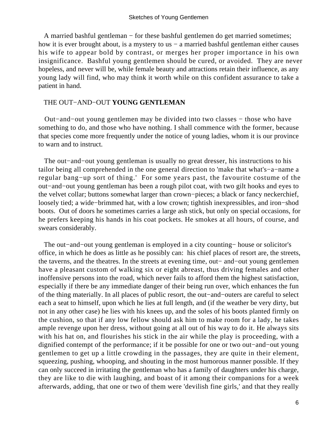A married bashful gentleman − for these bashful gentlemen do get married sometimes; how it is ever brought about, is a mystery to us − a married bashful gentleman either causes his wife to appear bold by contrast, or merges her proper importance in his own insignificance. Bashful young gentlemen should be cured, or avoided. They are never hopeless, and never will be, while female beauty and attractions retain their influence, as any young lady will find, who may think it worth while on this confident assurance to take a patient in hand.

#### THE OUT−AND−OUT **YOUNG GENTLEMAN**

 Out−and−out young gentlemen may be divided into two classes − those who have something to do, and those who have nothing. I shall commence with the former, because that species come more frequently under the notice of young ladies, whom it is our province to warn and to instruct.

 The out−and−out young gentleman is usually no great dresser, his instructions to his tailor being all comprehended in the one general direction to 'make that what's−a−name a regular bang−up sort of thing.' For some years past, the favourite costume of the out−and−out young gentleman has been a rough pilot coat, with two gilt hooks and eyes to the velvet collar; buttons somewhat larger than crown−pieces; a black or fancy neckerchief, loosely tied; a wide−brimmed hat, with a low crown; tightish inexpressibles, and iron−shod boots. Out of doors he sometimes carries a large ash stick, but only on special occasions, for he prefers keeping his hands in his coat pockets. He smokes at all hours, of course, and swears considerably.

 The out−and−out young gentleman is employed in a city counting− house or solicitor's office, in which he does as little as he possibly can: his chief places of resort are, the streets, the taverns, and the theatres. In the streets at evening time, out− and−out young gentlemen have a pleasant custom of walking six or eight abreast, thus driving females and other inoffensive persons into the road, which never fails to afford them the highest satisfaction, especially if there be any immediate danger of their being run over, which enhances the fun of the thing materially. In all places of public resort, the out−and−outers are careful to select each a seat to himself, upon which he lies at full length, and (if the weather be very dirty, but not in any other case) he lies with his knees up, and the soles of his boots planted firmly on the cushion, so that if any low fellow should ask him to make room for a lady, he takes ample revenge upon her dress, without going at all out of his way to do it. He always sits with his hat on, and flourishes his stick in the air while the play is proceeding, with a dignified contempt of the performance; if it be possible for one or two out−and−out young gentlemen to get up a little crowding in the passages, they are quite in their element, squeezing, pushing, whooping, and shouting in the most humorous manner possible. If they can only succeed in irritating the gentleman who has a family of daughters under his charge, they are like to die with laughing, and boast of it among their companions for a week afterwards, adding, that one or two of them were 'devilish fine girls,' and that they really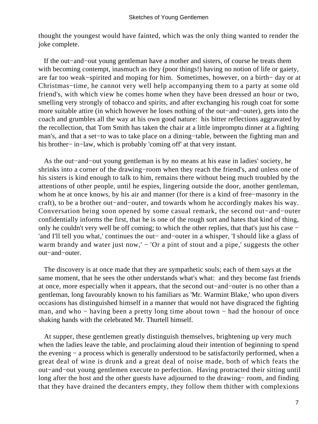thought the youngest would have fainted, which was the only thing wanted to render the joke complete.

 If the out−and−out young gentleman have a mother and sisters, of course he treats them with becoming contempt, inasmuch as they (poor things!) having no notion of life or gaiety, are far too weak−spirited and moping for him. Sometimes, however, on a birth− day or at Christmas−time, he cannot very well help accompanying them to a party at some old friend's, with which view he comes home when they have been dressed an hour or two, smelling very strongly of tobacco and spirits, and after exchanging his rough coat for some more suitable attire (in which however he loses nothing of the out−and−outer), gets into the coach and grumbles all the way at his own good nature: his bitter reflections aggravated by the recollection, that Tom Smith has taken the chair at a little impromptu dinner at a fighting man's, and that a set−to was to take place on a dining−table, between the fighting man and his brother− in−law, which is probably 'coming off' at that very instant.

 As the out−and−out young gentleman is by no means at his ease in ladies' society, he shrinks into a corner of the drawing−room when they reach the friend's, and unless one of his sisters is kind enough to talk to him, remains there without being much troubled by the attentions of other people, until he espies, lingering outside the door, another gentleman, whom he at once knows, by his air and manner (for there is a kind of free−masonry in the craft), to be a brother out−and−outer, and towards whom he accordingly makes his way. Conversation being soon opened by some casual remark, the second out−and−outer confidentially informs the first, that he is one of the rough sort and hates that kind of thing, only he couldn't very well be off coming; to which the other replies, that that's just his case − 'and I'll tell you what,' continues the out− and−outer in a whisper, 'I should like a glass of warm brandy and water just now,' − 'Or a pint of stout and a pipe,' suggests the other out−and−outer.

 The discovery is at once made that they are sympathetic souls; each of them says at the same moment, that he sees the other understands what's what: and they become fast friends at once, more especially when it appears, that the second out−and−outer is no other than a gentleman, long favourably known to his familiars as 'Mr. Warmint Blake,' who upon divers occasions has distinguished himself in a manner that would not have disgraced the fighting man, and who – having been a pretty long time about town – had the honour of once shaking hands with the celebrated Mr. Thurtell himself.

 At supper, these gentlemen greatly distinguish themselves, brightening up very much when the ladies leave the table, and proclaiming aloud their intention of beginning to spend the evening − a process which is generally understood to be satisfactorily performed, when a great deal of wine is drunk and a great deal of noise made, both of which feats the out−and−out young gentlemen execute to perfection. Having protracted their sitting until long after the host and the other guests have adjourned to the drawing− room, and finding that they have drained the decanters empty, they follow them thither with complexions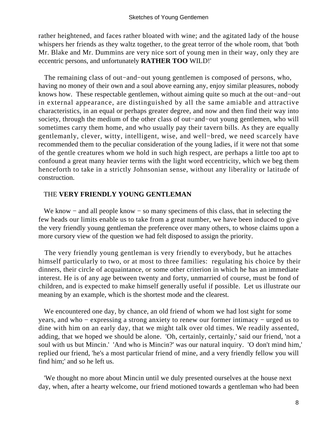rather heightened, and faces rather bloated with wine; and the agitated lady of the house whispers her friends as they waltz together, to the great terror of the whole room, that 'both Mr. Blake and Mr. Dummins are very nice sort of young men in their way, only they are eccentric persons, and unfortunately **RATHER TOO** WILD!'

 The remaining class of out−and−out young gentlemen is composed of persons, who, having no money of their own and a soul above earning any, enjoy similar pleasures, nobody knows how. These respectable gentlemen, without aiming quite so much at the out−and−out in external appearance, are distinguished by all the same amiable and attractive characteristics, in an equal or perhaps greater degree, and now and then find their way into society, through the medium of the other class of out−and−out young gentlemen, who will sometimes carry them home, and who usually pay their tavern bills. As they are equally gentlemanly, clever, witty, intelligent, wise, and well−bred, we need scarcely have recommended them to the peculiar consideration of the young ladies, if it were not that some of the gentle creatures whom we hold in such high respect, are perhaps a little too apt to confound a great many heavier terms with the light word eccentricity, which we beg them henceforth to take in a strictly Johnsonian sense, without any liberality or latitude of construction.

#### THE **VERY FRIENDLY YOUNG GENTLEMAN**

 We know − and all people know − so many specimens of this class, that in selecting the few heads our limits enable us to take from a great number, we have been induced to give the very friendly young gentleman the preference over many others, to whose claims upon a more cursory view of the question we had felt disposed to assign the priority.

 The very friendly young gentleman is very friendly to everybody, but he attaches himself particularly to two, or at most to three families: regulating his choice by their dinners, their circle of acquaintance, or some other criterion in which he has an immediate interest. He is of any age between twenty and forty, unmarried of course, must be fond of children, and is expected to make himself generally useful if possible. Let us illustrate our meaning by an example, which is the shortest mode and the clearest.

 We encountered one day, by chance, an old friend of whom we had lost sight for some years, and who − expressing a strong anxiety to renew our former intimacy − urged us to dine with him on an early day, that we might talk over old times. We readily assented, adding, that we hoped we should be alone. 'Oh, certainly, certainly,' said our friend, 'not a soul with us but Mincin.' 'And who is Mincin?' was our natural inquiry. 'O don't mind him,' replied our friend, 'he's a most particular friend of mine, and a very friendly fellow you will find him;' and so he left us.

 'We thought no more about Mincin until we duly presented ourselves at the house next day, when, after a hearty welcome, our friend motioned towards a gentleman who had been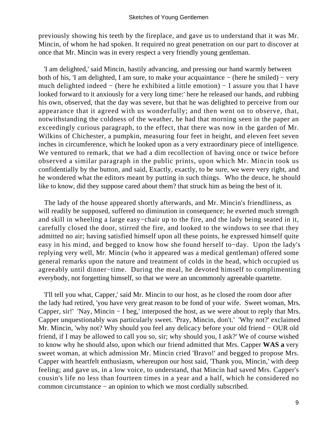previously showing his teeth by the fireplace, and gave us to understand that it was Mr. Mincin, of whom he had spoken. It required no great penetration on our part to discover at once that Mr. Mincin was in every respect a very friendly young gentleman.

 'I am delighted,' said Mincin, hastily advancing, and pressing our hand warmly between both of his, 'I am delighted, I am sure, to make your acquaintance − (here he smiled) − very much delighted indeed − (here he exhibited a little emotion) − I assure you that I have looked forward to it anxiously for a very long time:' here he released our hands, and rubbing his own, observed, that the day was severe, but that he was delighted to perceive from our appearance that it agreed with us wonderfully; and then went on to observe, that, notwithstanding the coldness of the weather, he had that morning seen in the paper an exceedingly curious paragraph, to the effect, that there was now in the garden of Mr. Wilkins of Chichester, a pumpkin, measuring four feet in height, and eleven feet seven inches in circumference, which he looked upon as a very extraordinary piece of intelligence. We ventured to remark, that we had a dim recollection of having once or twice before observed a similar paragraph in the public prints, upon which Mr. Mincin took us confidentially by the button, and said, Exactly, exactly, to be sure, we were very right, and he wondered what the editors meant by putting in such things. Who the deuce, he should like to know, did they suppose cared about them? that struck him as being the best of it.

 The lady of the house appeared shortly afterwards, and Mr. Mincin's friendliness, as will readily be supposed, suffered no diminution in consequence; he exerted much strength and skill in wheeling a large easy−chair up to the fire, and the lady being seated in it, carefully closed the door, stirred the fire, and looked to the windows to see that they admitted no air; having satisfied himself upon all these points, he expressed himself quite easy in his mind, and begged to know how she found herself to−day. Upon the lady's replying very well, Mr. Mincin (who it appeared was a medical gentleman) offered some general remarks upon the nature and treatment of colds in the head, which occupied us agreeably until dinner−time. During the meal, he devoted himself to complimenting everybody, not forgetting himself, so that we were an uncommonly agreeable quartette.

 'I'll tell you what, Capper,' said Mr. Mincin to our host, as he closed the room door after the lady had retired, 'you have very great reason to be fond of your wife. Sweet woman, Mrs. Capper, sir!' 'Nay, Mincin − I beg,' interposed the host, as we were about to reply that Mrs. Capper unquestionably was particularly sweet. 'Pray, Mincin, don't.' 'Why not?' exclaimed Mr. Mincin, 'why not? Why should you feel any delicacy before your old friend – OUR old friend, if I may be allowed to call you so, sir; why should you, I ask?' We of course wished to know why he should also, upon which our friend admitted that Mrs. Capper **WAS a** very sweet woman, at which admission Mr. Mincin cried 'Bravo!' and begged to propose Mrs. Capper with heartfelt enthusiasm, whereupon our host said, 'Thank you, Mincin,' with deep feeling; and gave us, in a low voice, to understand, that Mincin had saved Mrs. Capper's cousin's life no less than fourteen times in a year and a half, which he considered no common circumstance − an opinion to which we most cordially subscribed.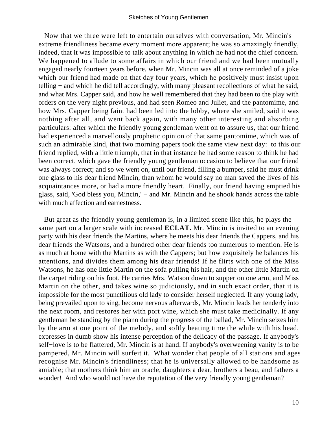Now that we three were left to entertain ourselves with conversation, Mr. Mincin's extreme friendliness became every moment more apparent; he was so amazingly friendly, indeed, that it was impossible to talk about anything in which he had not the chief concern. We happened to allude to some affairs in which our friend and we had been mutually engaged nearly fourteen years before, when Mr. Mincin was all at once reminded of a joke which our friend had made on that day four years, which he positively must insist upon telling − and which he did tell accordingly, with many pleasant recollections of what he said, and what Mrs. Capper said, and how he well remembered that they had been to the play with orders on the very night previous, and had seen Romeo and Juliet, and the pantomime, and how Mrs. Capper being faint had been led into the lobby, where she smiled, said it was nothing after all, and went back again, with many other interesting and absorbing particulars: after which the friendly young gentleman went on to assure us, that our friend had experienced a marvellously prophetic opinion of that same pantomime, which was of such an admirable kind, that two morning papers took the same view next day: to this our friend replied, with a little triumph, that in that instance he had some reason to think he had been correct, which gave the friendly young gentleman occasion to believe that our friend was always correct; and so we went on, until our friend, filling a bumper, said he must drink one glass to his dear friend Mincin, than whom he would say no man saved the lives of his acquaintances more, or had a more friendly heart. Finally, our friend having emptied his glass, said, 'God bless you, Mincin,' − and Mr. Mincin and he shook hands across the table with much affection and earnestness.

 But great as the friendly young gentleman is, in a limited scene like this, he plays the same part on a larger scale with increased **ECLAT.** Mr. Mincin is invited to an evening party with his dear friends the Martins, where he meets his dear friends the Cappers, and his dear friends the Watsons, and a hundred other dear friends too numerous to mention. He is as much at home with the Martins as with the Cappers; but how exquisitely he balances his attentions, and divides them among his dear friends! If he flirts with one of the Miss Watsons, he has one little Martin on the sofa pulling his hair, and the other little Martin on the carpet riding on his foot. He carries Mrs. Watson down to supper on one arm, and Miss Martin on the other, and takes wine so judiciously, and in such exact order, that it is impossible for the most punctilious old lady to consider herself neglected. If any young lady, being prevailed upon to sing, become nervous afterwards, Mr. Mincin leads her tenderly into the next room, and restores her with port wine, which she must take medicinally. If any gentleman be standing by the piano during the progress of the ballad, Mr. Mincin seizes him by the arm at one point of the melody, and softly beating time the while with his head, expresses in dumb show his intense perception of the delicacy of the passage. If anybody's self−love is to be flattered, Mr. Mincin is at hand. If anybody's overweening vanity is to be pampered, Mr. Mincin will surfeit it. What wonder that people of all stations and ages recognise Mr. Mincin's friendliness; that he is universally allowed to be handsome as amiable; that mothers think him an oracle, daughters a dear, brothers a beau, and fathers a wonder! And who would not have the reputation of the very friendly young gentleman?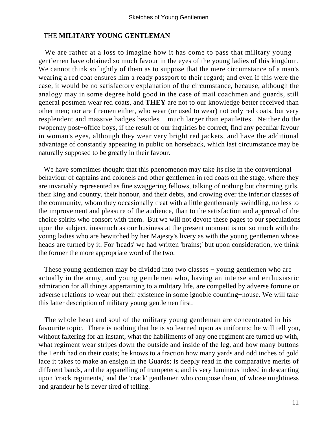#### THE **MILITARY YOUNG GENTLEMAN**

We are rather at a loss to imagine how it has come to pass that military young gentlemen have obtained so much favour in the eyes of the young ladies of this kingdom. We cannot think so lightly of them as to suppose that the mere circumstance of a man's wearing a red coat ensures him a ready passport to their regard; and even if this were the case, it would be no satisfactory explanation of the circumstance, because, although the analogy may in some degree hold good in the case of mail coachmen and guards, still general postmen wear red coats, and **THEY** are not to our knowledge better received than other men; nor are firemen either, who wear (or used to wear) not only red coats, but very resplendent and massive badges besides − much larger than epaulettes. Neither do the twopenny post−office boys, if the result of our inquiries be correct, find any peculiar favour in woman's eyes, although they wear very bright red jackets, and have the additional advantage of constantly appearing in public on horseback, which last circumstance may be naturally supposed to be greatly in their favour.

 We have sometimes thought that this phenomenon may take its rise in the conventional behaviour of captains and colonels and other gentlemen in red coats on the stage, where they are invariably represented as fine swaggering fellows, talking of nothing but charming girls, their king and country, their honour, and their debts, and crowing over the inferior classes of the community, whom they occasionally treat with a little gentlemanly swindling, no less to the improvement and pleasure of the audience, than to the satisfaction and approval of the choice spirits who consort with them. But we will not devote these pages to our speculations upon the subject, inasmuch as our business at the present moment is not so much with the young ladies who are bewitched by her Majesty's livery as with the young gentlemen whose heads are turned by it. For 'heads' we had written 'brains;' but upon consideration, we think the former the more appropriate word of the two.

These young gentlemen may be divided into two classes – young gentlemen who are actually in the army, and young gentlemen who, having an intense and enthusiastic admiration for all things appertaining to a military life, are compelled by adverse fortune or adverse relations to wear out their existence in some ignoble counting−house. We will take this latter description of military young gentlemen first.

 The whole heart and soul of the military young gentleman are concentrated in his favourite topic. There is nothing that he is so learned upon as uniforms; he will tell you, without faltering for an instant, what the habiliments of any one regiment are turned up with, what regiment wear stripes down the outside and inside of the leg, and how many buttons the Tenth had on their coats; he knows to a fraction how many yards and odd inches of gold lace it takes to make an ensign in the Guards; is deeply read in the comparative merits of different bands, and the apparelling of trumpeters; and is very luminous indeed in descanting upon 'crack regiments,' and the 'crack' gentlemen who compose them, of whose mightiness and grandeur he is never tired of telling.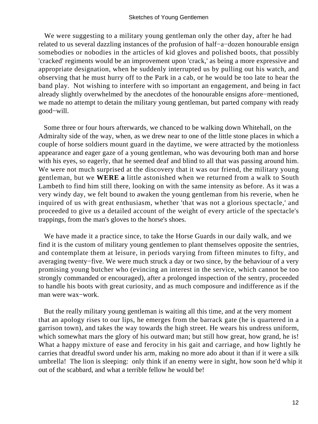We were suggesting to a military young gentleman only the other day, after he had related to us several dazzling instances of the profusion of half−a−dozen honourable ensign somebodies or nobodies in the articles of kid gloves and polished boots, that possibly 'cracked' regiments would be an improvement upon 'crack,' as being a more expressive and appropriate designation, when he suddenly interrupted us by pulling out his watch, and observing that he must hurry off to the Park in a cab, or he would be too late to hear the band play. Not wishing to interfere with so important an engagement, and being in fact already slightly overwhelmed by the anecdotes of the honourable ensigns afore−mentioned, we made no attempt to detain the military young gentleman, but parted company with ready good−will.

 Some three or four hours afterwards, we chanced to be walking down Whitehall, on the Admiralty side of the way, when, as we drew near to one of the little stone places in which a couple of horse soldiers mount guard in the daytime, we were attracted by the motionless appearance and eager gaze of a young gentleman, who was devouring both man and horse with his eyes, so eagerly, that he seemed deaf and blind to all that was passing around him. We were not much surprised at the discovery that it was our friend, the military young gentleman, but we **WERE a** little astonished when we returned from a walk to South Lambeth to find him still there, looking on with the same intensity as before. As it was a very windy day, we felt bound to awaken the young gentleman from his reverie, when he inquired of us with great enthusiasm, whether 'that was not a glorious spectacle,' and proceeded to give us a detailed account of the weight of every article of the spectacle's trappings, from the man's gloves to the horse's shoes.

 We have made it a practice since, to take the Horse Guards in our daily walk, and we find it is the custom of military young gentlemen to plant themselves opposite the sentries, and contemplate them at leisure, in periods varying from fifteen minutes to fifty, and averaging twenty−five. We were much struck a day or two since, by the behaviour of a very promising young butcher who (evincing an interest in the service, which cannot be too strongly commanded or encouraged), after a prolonged inspection of the sentry, proceeded to handle his boots with great curiosity, and as much composure and indifference as if the man were wax−work.

 But the really military young gentleman is waiting all this time, and at the very moment that an apology rises to our lips, he emerges from the barrack gate (he is quartered in a garrison town), and takes the way towards the high street. He wears his undress uniform, which somewhat mars the glory of his outward man; but still how great, how grand, he is! What a happy mixture of ease and ferocity in his gait and carriage, and how lightly he carries that dreadful sword under his arm, making no more ado about it than if it were a silk umbrella! The lion is sleeping: only think if an enemy were in sight, how soon he'd whip it out of the scabbard, and what a terrible fellow he would be!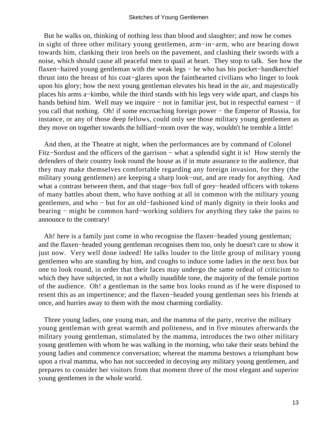But he walks on, thinking of nothing less than blood and slaughter; and now he comes in sight of three other military young gentlemen, arm−in−arm, who are bearing down towards him, clanking their iron heels on the pavement, and clashing their swords with a noise, which should cause all peaceful men to quail at heart. They stop to talk. See how the flaxen−haired young gentleman with the weak legs − he who has his pocket−handkerchief thrust into the breast of his coat−glares upon the fainthearted civilians who linger to look upon his glory; how the next young gentleman elevates his head in the air, and majestically places his arms a−kimbo, while the third stands with his legs very wide apart, and clasps his hands behind him. Well may we inquire – not in familiar jest, but in respectful earnest – if you call that nothing. Oh! if some encroaching foreign power − the Emperor of Russia, for instance, or any of those deep fellows, could only see those military young gentlemen as they move on together towards the billiard−room over the way, wouldn't he tremble a little!

 And then, at the Theatre at night, when the performances are by command of Colonel Fitz−Sordust and the officers of the garrison − what a splendid sight it is! How sternly the defenders of their country look round the house as if in mute assurance to the audience, that they may make themselves comfortable regarding any foreign invasion, for they (the military young gentlemen) are keeping a sharp look−out, and are ready for anything. And what a contrast between them, and that stage−box full of grey−headed officers with tokens of many battles about them, who have nothing at all in common with the military young gentlemen, and who − but for an old−fashioned kind of manly dignity in their looks and bearing − might be common hard−working soldiers for anything they take the pains to announce to the contrary!

 Ah! here is a family just come in who recognise the flaxen−headed young gentleman; and the flaxen−headed young gentleman recognises them too, only he doesn't care to show it just now. Very well done indeed! He talks louder to the little group of military young gentlemen who are standing by him, and coughs to induce some ladies in the next box but one to look round, in order that their faces may undergo the same ordeal of criticism to which they have subjected, in not a wholly inaudible tone, the majority of the female portion of the audience. Oh! a gentleman in the same box looks round as if he were disposed to resent this as an impertinence; and the flaxen−headed young gentleman sees his friends at once, and hurries away to them with the most charming cordiality.

 Three young ladies, one young man, and the mamma of the party, receive the military young gentleman with great warmth and politeness, and in five minutes afterwards the military young gentleman, stimulated by the mamma, introduces the two other military young gentlemen with whom he was walking in the morning, who take their seats behind the young ladies and commence conversation; whereat the mamma bestows a triumphant bow upon a rival mamma, who has not succeeded in decoying any military young gentlemen, and prepares to consider her visitors from that moment three of the most elegant and superior young gentlemen in the whole world.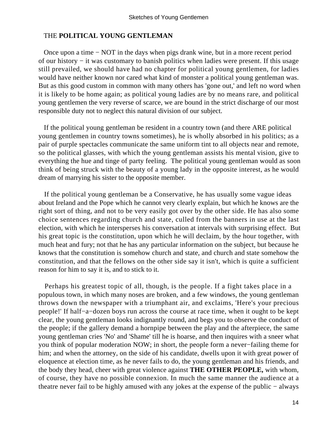#### THE **POLITICAL YOUNG GENTLEMAN**

 Once upon a time − NOT in the days when pigs drank wine, but in a more recent period of our history − it was customary to banish politics when ladies were present. If this usage still prevailed, we should have had no chapter for political young gentlemen, for ladies would have neither known nor cared what kind of monster a political young gentleman was. But as this good custom in common with many others has 'gone out,' and left no word when it is likely to be home again; as political young ladies are by no means rare, and political young gentlemen the very reverse of scarce, we are bound in the strict discharge of our most responsible duty not to neglect this natural division of our subject.

 If the political young gentleman be resident in a country town (and there ARE political young gentlemen in country towns sometimes), he is wholly absorbed in his politics; as a pair of purple spectacles communicate the same uniform tint to all objects near and remote, so the political glasses, with which the young gentleman assists his mental vision, give to everything the hue and tinge of party feeling. The political young gentleman would as soon think of being struck with the beauty of a young lady in the opposite interest, as he would dream of marrying his sister to the opposite member.

 If the political young gentleman be a Conservative, he has usually some vague ideas about Ireland and the Pope which he cannot very clearly explain, but which he knows are the right sort of thing, and not to be very easily got over by the other side. He has also some choice sentences regarding church and state, culled from the banners in use at the last election, with which he intersperses his conversation at intervals with surprising effect. But his great topic is the constitution, upon which he will declaim, by the hour together, with much heat and fury; not that he has any particular information on the subject, but because he knows that the constitution is somehow church and state, and church and state somehow the constitution, and that the fellows on the other side say it isn't, which is quite a sufficient reason for him to say it is, and to stick to it.

 Perhaps his greatest topic of all, though, is the people. If a fight takes place in a populous town, in which many noses are broken, and a few windows, the young gentleman throws down the newspaper with a triumphant air, and exclaims, 'Here's your precious people!' If half−a−dozen boys run across the course at race time, when it ought to be kept clear, the young gentleman looks indignantly round, and begs you to observe the conduct of the people; if the gallery demand a hornpipe between the play and the afterpiece, the same young gentleman cries 'No' and 'Shame' till he is hoarse, and then inquires with a sneer what you think of popular moderation NOW; in short, the people form a never−failing theme for him; and when the attorney, on the side of his candidate, dwells upon it with great power of eloquence at election time, as he never fails to do, the young gentleman and his friends, and the body they head, cheer with great violence against **THE OTHER PEOPLE,** with whom, of course, they have no possible connexion. In much the same manner the audience at a theatre never fail to be highly amused with any jokes at the expense of the public − always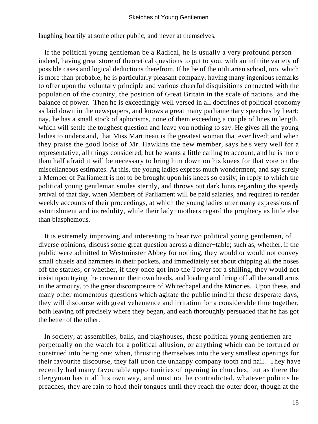laughing heartily at some other public, and never at themselves.

 If the political young gentleman be a Radical, he is usually a very profound person indeed, having great store of theoretical questions to put to you, with an infinite variety of possible cases and logical deductions therefrom. If he be of the utilitarian school, too, which is more than probable, he is particularly pleasant company, having many ingenious remarks to offer upon the voluntary principle and various cheerful disquisitions connected with the population of the country, the position of Great Britain in the scale of nations, and the balance of power. Then he is exceedingly well versed in all doctrines of political economy as laid down in the newspapers, and knows a great many parliamentary speeches by heart; nay, he has a small stock of aphorisms, none of them exceeding a couple of lines in length, which will settle the toughest question and leave you nothing to say. He gives all the young ladies to understand, that Miss Martineau is the greatest woman that ever lived; and when they praise the good looks of Mr. Hawkins the new member, says he's very well for a representative, all things considered, but he wants a little calling to account, and he is more than half afraid it will be necessary to bring him down on his knees for that vote on the miscellaneous estimates. At this, the young ladies express much wonderment, and say surely a Member of Parliament is not to be brought upon his knees so easily; in reply to which the political young gentleman smiles sternly, and throws out dark hints regarding the speedy arrival of that day, when Members of Parliament will be paid salaries, and required to render weekly accounts of their proceedings, at which the young ladies utter many expressions of astonishment and incredulity, while their lady−mothers regard the prophecy as little else than blasphemous.

 It is extremely improving and interesting to hear two political young gentlemen, of diverse opinions, discuss some great question across a dinner−table; such as, whether, if the public were admitted to Westminster Abbey for nothing, they would or would not convey small chisels and hammers in their pockets, and immediately set about chipping all the noses off the statues; or whether, if they once got into the Tower for a shilling, they would not insist upon trying the crown on their own heads, and loading and firing off all the small arms in the armoury, to the great discomposure of Whitechapel and the Minories. Upon these, and many other momentous questions which agitate the public mind in these desperate days, they will discourse with great vehemence and irritation for a considerable time together, both leaving off precisely where they began, and each thoroughly persuaded that he has got the better of the other.

 In society, at assemblies, balls, and playhouses, these political young gentlemen are perpetually on the watch for a political allusion, or anything which can be tortured or construed into being one; when, thrusting themselves into the very smallest openings for their favourite discourse, they fall upon the unhappy company tooth and nail. They have recently had many favourable opportunities of opening in churches, but as there the clergyman has it all his own way, and must not be contradicted, whatever politics he preaches, they are fain to hold their tongues until they reach the outer door, though at the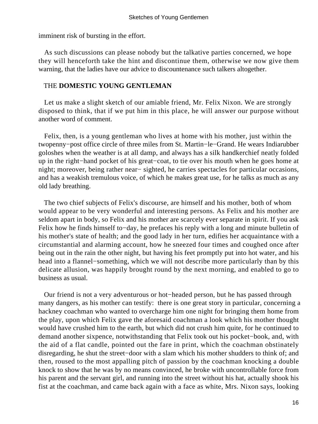imminent risk of bursting in the effort.

 As such discussions can please nobody but the talkative parties concerned, we hope they will henceforth take the hint and discontinue them, otherwise we now give them warning, that the ladies have our advice to discountenance such talkers altogether.

#### THE **DOMESTIC YOUNG GENTLEMAN**

 Let us make a slight sketch of our amiable friend, Mr. Felix Nixon. We are strongly disposed to think, that if we put him in this place, he will answer our purpose without another word of comment.

 Felix, then, is a young gentleman who lives at home with his mother, just within the twopenny−post office circle of three miles from St. Martin−le−Grand. He wears Indiarubber goloshes when the weather is at all damp, and always has a silk handkerchief neatly folded up in the right−hand pocket of his great−coat, to tie over his mouth when he goes home at night; moreover, being rather near– sighted, he carries spectacles for particular occasions, and has a weakish tremulous voice, of which he makes great use, for he talks as much as any old lady breathing.

 The two chief subjects of Felix's discourse, are himself and his mother, both of whom would appear to be very wonderful and interesting persons. As Felix and his mother are seldom apart in body, so Felix and his mother are scarcely ever separate in spirit. If you ask Felix how he finds himself to−day, he prefaces his reply with a long and minute bulletin of his mother's state of health; and the good lady in her turn, edifies her acquaintance with a circumstantial and alarming account, how he sneezed four times and coughed once after being out in the rain the other night, but having his feet promptly put into hot water, and his head into a flannel−something, which we will not describe more particularly than by this delicate allusion, was happily brought round by the next morning, and enabled to go to business as usual.

 Our friend is not a very adventurous or hot−headed person, but he has passed through many dangers, as his mother can testify: there is one great story in particular, concerning a hackney coachman who wanted to overcharge him one night for bringing them home from the play, upon which Felix gave the aforesaid coachman a look which his mother thought would have crushed him to the earth, but which did not crush him quite, for he continued to demand another sixpence, notwithstanding that Felix took out his pocket−book, and, with the aid of a flat candle, pointed out the fare in print, which the coachman obstinately disregarding, he shut the street−door with a slam which his mother shudders to think of; and then, roused to the most appalling pitch of passion by the coachman knocking a double knock to show that he was by no means convinced, he broke with uncontrollable force from his parent and the servant girl, and running into the street without his hat, actually shook his fist at the coachman, and came back again with a face as white, Mrs. Nixon says, looking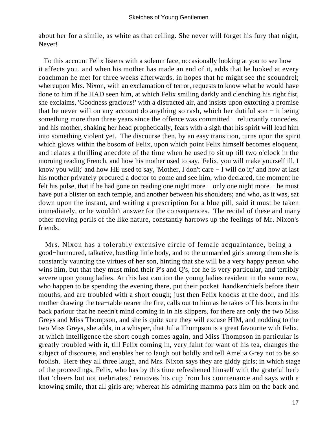about her for a simile, as white as that ceiling. She never will forget his fury that night, Never!

 To this account Felix listens with a solemn face, occasionally looking at you to see how it affects you, and when his mother has made an end of it, adds that he looked at every coachman he met for three weeks afterwards, in hopes that he might see the scoundrel; whereupon Mrs. Nixon, with an exclamation of terror, requests to know what he would have done to him if he HAD seen him, at which Felix smiling darkly and clenching his right fist, she exclaims, 'Goodness gracious!' with a distracted air, and insists upon extorting a promise that he never will on any account do anything so rash, which her dutiful son − it being something more than three years since the offence was committed – reluctantly concedes, and his mother, shaking her head prophetically, fears with a sigh that his spirit will lead him into something violent yet. The discourse then, by an easy transition, turns upon the spirit which glows within the bosom of Felix, upon which point Felix himself becomes eloquent, and relates a thrilling anecdote of the time when he used to sit up till two o'clock in the morning reading French, and how his mother used to say, 'Felix, you will make yourself ill, I know you will;' and how HE used to say, 'Mother, I don't care − I will do it;' and how at last his mother privately procured a doctor to come and see him, who declared, the moment he felt his pulse, that if he had gone on reading one night more − only one night more − he must have put a blister on each temple, and another between his shoulders; and who, as it was, sat down upon the instant, and writing a prescription for a blue pill, said it must be taken immediately, or he wouldn't answer for the consequences. The recital of these and many other moving perils of the like nature, constantly harrows up the feelings of Mr. Nixon's friends.

 Mrs. Nixon has a tolerably extensive circle of female acquaintance, being a good−humoured, talkative, bustling little body, and to the unmarried girls among them she is constantly vaunting the virtues of her son, hinting that she will be a very happy person who wins him, but that they must mind their P's and Q's, for he is very particular, and terribly severe upon young ladies. At this last caution the young ladies resident in the same row, who happen to be spending the evening there, put their pocket−handkerchiefs before their mouths, and are troubled with a short cough; just then Felix knocks at the door, and his mother drawing the tea−table nearer the fire, calls out to him as he takes off his boots in the back parlour that he needn't mind coming in in his slippers, for there are only the two Miss Greys and Miss Thompson, and she is quite sure they will excuse HIM, and nodding to the two Miss Greys, she adds, in a whisper, that Julia Thompson is a great favourite with Felix, at which intelligence the short cough comes again, and Miss Thompson in particular is greatly troubled with it, till Felix coming in, very faint for want of his tea, changes the subject of discourse, and enables her to laugh out boldly and tell Amelia Grey not to be so foolish. Here they all three laugh, and Mrs. Nixon says they are giddy girls; in which stage of the proceedings, Felix, who has by this time refreshened himself with the grateful herb that 'cheers but not inebriates,' removes his cup from his countenance and says with a knowing smile, that all girls are; whereat his admiring mamma pats him on the back and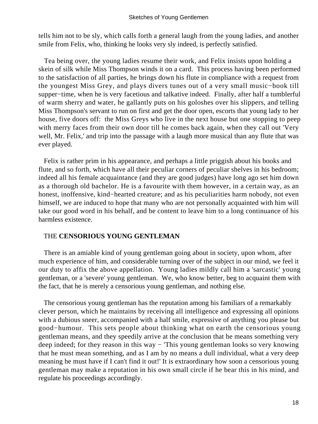tells him not to be sly, which calls forth a general laugh from the young ladies, and another smile from Felix, who, thinking he looks very sly indeed, is perfectly satisfied.

 Tea being over, the young ladies resume their work, and Felix insists upon holding a skein of silk while Miss Thompson winds it on a card. This process having been performed to the satisfaction of all parties, he brings down his flute in compliance with a request from the youngest Miss Grey, and plays divers tunes out of a very small music−book till supper−time, when he is very facetious and talkative indeed. Finally, after half a tumblerful of warm sherry and water, he gallantly puts on his goloshes over his slippers, and telling Miss Thompson's servant to run on first and get the door open, escorts that young lady to her house, five doors off: the Miss Greys who live in the next house but one stopping to peep with merry faces from their own door till he comes back again, when they call out 'Very well, Mr. Felix,' and trip into the passage with a laugh more musical than any flute that was ever played.

 Felix is rather prim in his appearance, and perhaps a little priggish about his books and flute, and so forth, which have all their peculiar corners of peculiar shelves in his bedroom; indeed all his female acquaintance (and they are good judges) have long ago set him down as a thorough old bachelor. He is a favourite with them however, in a certain way, as an honest, inoffensive, kind−hearted creature; and as his peculiarities harm nobody, not even himself, we are induced to hope that many who are not personally acquainted with him will take our good word in his behalf, and be content to leave him to a long continuance of his harmless existence.

#### THE **CENSORIOUS YOUNG GENTLEMAN**

 There is an amiable kind of young gentleman going about in society, upon whom, after much experience of him, and considerable turning over of the subject in our mind, we feel it our duty to affix the above appellation. Young ladies mildly call him a 'sarcastic' young gentleman, or a 'severe' young gentleman. We, who know better, beg to acquaint them with the fact, that he is merely a censorious young gentleman, and nothing else.

 The censorious young gentleman has the reputation among his familiars of a remarkably clever person, which he maintains by receiving all intelligence and expressing all opinions with a dubious sneer, accompanied with a half smile, expressive of anything you please but good−humour. This sets people about thinking what on earth the censorious young gentleman means, and they speedily arrive at the conclusion that he means something very deep indeed; for they reason in this way − 'This young gentleman looks so very knowing that he must mean something, and as I am by no means a dull individual, what a very deep meaning he must have if I can't find it out!' It is extraordinary how soon a censorious young gentleman may make a reputation in his own small circle if he bear this in his mind, and regulate his proceedings accordingly.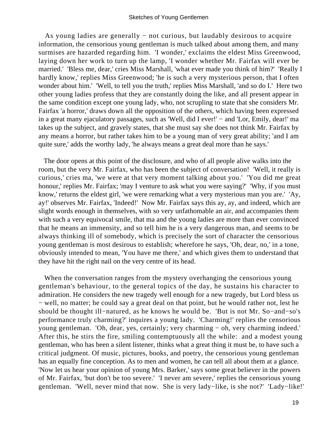As young ladies are generally − not curious, but laudably desirous to acquire information, the censorious young gentleman is much talked about among them, and many surmises are hazarded regarding him. 'I wonder,' exclaims the eldest Miss Greenwood, laying down her work to turn up the lamp, 'I wonder whether Mr. Fairfax will ever be married.' 'Bless me, dear,' cries Miss Marshall, 'what ever made you think of him?' 'Really I hardly know,' replies Miss Greenwood; 'he is such a very mysterious person, that I often wonder about him.' 'Well, to tell you the truth,' replies Miss Marshall, 'and so do I.' Here two other young ladies profess that they are constantly doing the like, and all present appear in the same condition except one young lady, who, not scrupling to state that she considers Mr. Fairfax 'a horror,' draws down all the opposition of the others, which having been expressed in a great many ejaculatory passages, such as 'Well, did I ever!' – and 'Lor, Emily, dear!' ma takes up the subject, and gravely states, that she must say she does not think Mr. Fairfax by any means a horror, but rather takes him to be a young man of very great ability; 'and I am quite sure,' adds the worthy lady, 'he always means a great deal more than he says.'

 The door opens at this point of the disclosure, and who of all people alive walks into the room, but the very Mr. Fairfax, who has been the subject of conversation! 'Well, it really is curious,' cries ma, 'we were at that very moment talking about you.' 'You did me great honour,' replies Mr. Fairfax; 'may I venture to ask what you were saying?' 'Why, if you must know,' returns the eldest girl, 'we were remarking what a very mysterious man you are.' 'Ay, ay!' observes Mr. Fairfax, 'Indeed!' Now Mr. Fairfax says this ay, ay, and indeed, which are slight words enough in themselves, with so very unfathomable an air, and accompanies them with such a very equivocal smile, that ma and the young ladies are more than ever convinced that he means an immensity, and so tell him he is a very dangerous man, and seems to be always thinking ill of somebody, which is precisely the sort of character the censorious young gentleman is most desirous to establish; wherefore he says, 'Oh, dear, no,' in a tone, obviously intended to mean, 'You have me there,' and which gives them to understand that they have hit the right nail on the very centre of its head.

 When the conversation ranges from the mystery overhanging the censorious young gentleman's behaviour, to the general topics of the day, he sustains his character to admiration. He considers the new tragedy well enough for a new tragedy, but Lord bless us − well, no matter; he could say a great deal on that point, but he would rather not, lest he should be thought ill−natured, as he knows he would be. 'But is not Mr. So−and−so's performance truly charming?' inquires a young lady. 'Charming!' replies the censorious young gentleman. 'Oh, dear, yes, certainly; very charming − oh, very charming indeed.' After this, he stirs the fire, smiling contemptuously all the while: and a modest young gentleman, who has been a silent listener, thinks what a great thing it must be, to have such a critical judgment. Of music, pictures, books, and poetry, the censorious young gentleman has an equally fine conception. As to men and women, he can tell all about them at a glance. 'Now let us hear your opinion of young Mrs. Barker,' says some great believer in the powers of Mr. Fairfax, 'but don't be too severe.' 'I never am severe,' replies the censorious young gentleman. 'Well, never mind that now. She is very lady−like, is she not?' 'Lady−like!'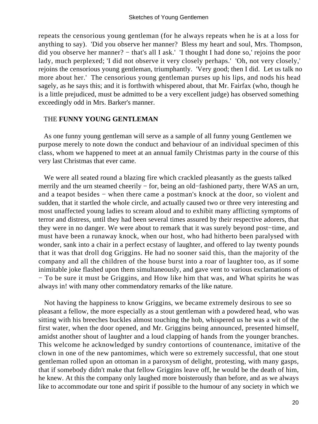repeats the censorious young gentleman (for he always repeats when he is at a loss for anything to say). 'Did you observe her manner? Bless my heart and soul, Mrs. Thompson, did you observe her manner? − that's all I ask.' 'I thought I had done so,' rejoins the poor lady, much perplexed; 'I did not observe it very closely perhaps.' 'Oh, not very closely,' rejoins the censorious young gentleman, triumphantly. 'Very good; then I did. Let us talk no more about her.' The censorious young gentleman purses up his lips, and nods his head sagely, as he says this; and it is forthwith whispered about, that Mr. Fairfax (who, though he is a little prejudiced, must be admitted to be a very excellent judge) has observed something exceedingly odd in Mrs. Barker's manner.

#### THE **FUNNY YOUNG GENTLEMAN**

 As one funny young gentleman will serve as a sample of all funny young Gentlemen we purpose merely to note down the conduct and behaviour of an individual specimen of this class, whom we happened to meet at an annual family Christmas party in the course of this very last Christmas that ever came.

 We were all seated round a blazing fire which crackled pleasantly as the guests talked merrily and the urn steamed cheerily − for, being an old−fashioned party, there WAS an urn, and a teapot besides − when there came a postman's knock at the door, so violent and sudden, that it startled the whole circle, and actually caused two or three very interesting and most unaffected young ladies to scream aloud and to exhibit many afflicting symptoms of terror and distress, until they had been several times assured by their respective adorers, that they were in no danger. We were about to remark that it was surely beyond post−time, and must have been a runaway knock, when our host, who had hitherto been paralysed with wonder, sank into a chair in a perfect ecstasy of laughter, and offered to lay twenty pounds that it was that droll dog Griggins. He had no sooner said this, than the majority of the company and all the children of the house burst into a roar of laughter too, as if some inimitable joke flashed upon them simultaneously, and gave vent to various exclamations of − To be sure it must be Griggins, and How like him that was, and What spirits he was always in! with many other commendatory remarks of the like nature.

 Not having the happiness to know Griggins, we became extremely desirous to see so pleasant a fellow, the more especially as a stout gentleman with a powdered head, who was sitting with his breeches buckles almost touching the hob, whispered us he was a wit of the first water, when the door opened, and Mr. Griggins being announced, presented himself, amidst another shout of laughter and a loud clapping of hands from the younger branches. This welcome he acknowledged by sundry contortions of countenance, imitative of the clown in one of the new pantomimes, which were so extremely successful, that one stout gentleman rolled upon an ottoman in a paroxysm of delight, protesting, with many gasps, that if somebody didn't make that fellow Griggins leave off, he would be the death of him, he knew. At this the company only laughed more boisterously than before, and as we always like to accommodate our tone and spirit if possible to the humour of any society in which we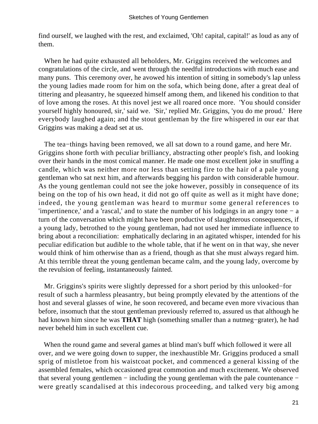find ourself, we laughed with the rest, and exclaimed, 'Oh! capital, capital!' as loud as any of them.

 When he had quite exhausted all beholders, Mr. Griggins received the welcomes and congratulations of the circle, and went through the needful introductions with much ease and many puns. This ceremony over, he avowed his intention of sitting in somebody's lap unless the young ladies made room for him on the sofa, which being done, after a great deal of tittering and pleasantry, he squeezed himself among them, and likened his condition to that of love among the roses. At this novel jest we all roared once more. 'You should consider yourself highly honoured, sir,' said we. 'Sir,' replied Mr. Griggins, 'you do me proud.' Here everybody laughed again; and the stout gentleman by the fire whispered in our ear that Griggins was making a dead set at us.

 The tea−things having been removed, we all sat down to a round game, and here Mr. Griggins shone forth with peculiar brilliancy, abstracting other people's fish, and looking over their hands in the most comical manner. He made one most excellent joke in snuffing a candle, which was neither more nor less than setting fire to the hair of a pale young gentleman who sat next him, and afterwards begging his pardon with considerable humour. As the young gentleman could not see the joke however, possibly in consequence of its being on the top of his own head, it did not go off quite as well as it might have done; indeed, the young gentleman was heard to murmur some general references to 'impertinence,' and a 'rascal,' and to state the number of his lodgings in an angry tone − a turn of the conversation which might have been productive of slaughterous consequences, if a young lady, betrothed to the young gentleman, had not used her immediate influence to bring about a reconciliation: emphatically declaring in an agitated whisper, intended for his peculiar edification but audible to the whole table, that if he went on in that way, she never would think of him otherwise than as a friend, though as that she must always regard him. At this terrible threat the young gentleman became calm, and the young lady, overcome by the revulsion of feeling, instantaneously fainted.

 Mr. Griggins's spirits were slightly depressed for a short period by this unlooked−for result of such a harmless pleasantry, but being promptly elevated by the attentions of the host and several glasses of wine, he soon recovered, and became even more vivacious than before, insomuch that the stout gentleman previously referred to, assured us that although he had known him since he was **THAT** high (something smaller than a nutmeg−grater), he had never beheld him in such excellent cue.

 When the round game and several games at blind man's buff which followed it were all over, and we were going down to supper, the inexhaustible Mr. Griggins produced a small sprig of mistletoe from his waistcoat pocket, and commenced a general kissing of the assembled females, which occasioned great commotion and much excitement. We observed that several young gentlemen – including the young gentleman with the pale countenance – were greatly scandalised at this indecorous proceeding, and talked very big among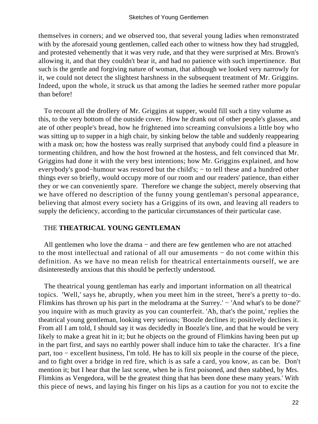themselves in corners; and we observed too, that several young ladies when remonstrated with by the aforesaid young gentlemen, called each other to witness how they had struggled, and protested vehemently that it was very rude, and that they were surprised at Mrs. Brown's allowing it, and that they couldn't bear it, and had no patience with such impertinence. But such is the gentle and forgiving nature of woman, that although we looked very narrowly for it, we could not detect the slightest harshness in the subsequent treatment of Mr. Griggins. Indeed, upon the whole, it struck us that among the ladies he seemed rather more popular than before!

 To recount all the drollery of Mr. Griggins at supper, would fill such a tiny volume as this, to the very bottom of the outside cover. How he drank out of other people's glasses, and ate of other people's bread, how he frightened into screaming convulsions a little boy who was sitting up to supper in a high chair, by sinking below the table and suddenly reappearing with a mask on; how the hostess was really surprised that anybody could find a pleasure in tormenting children, and how the host frowned at the hostess, and felt convinced that Mr. Griggins had done it with the very best intentions; how Mr. Griggins explained, and how everybody's good–humour was restored but the child's; – to tell these and a hundred other things ever so briefly, would occupy more of our room and our readers' patience, than either they or we can conveniently spare. Therefore we change the subject, merely observing that we have offered no description of the funny young gentleman's personal appearance, believing that almost every society has a Griggins of its own, and leaving all readers to supply the deficiency, according to the particular circumstances of their particular case.

#### THE **THEATRICAL YOUNG GENTLEMAN**

 All gentlemen who love the drama − and there are few gentlemen who are not attached to the most intellectual and rational of all our amusements − do not come within this definition. As we have no mean relish for theatrical entertainments ourself, we are disinterestedly anxious that this should be perfectly understood.

 The theatrical young gentleman has early and important information on all theatrical topics. 'Well,' says he, abruptly, when you meet him in the street, 'here's a pretty to−do. Flimkins has thrown up his part in the melodrama at the Surrey.' − 'And what's to be done?' you inquire with as much gravity as you can counterfeit. 'Ah, that's the point,' replies the theatrical young gentleman, looking very serious; 'Boozle declines it; positively declines it. From all I am told, I should say it was decidedly in Boozle's line, and that he would be very likely to make a great hit in it; but he objects on the ground of Flimkins having been put up in the part first, and says no earthly power shall induce him to take the character. It's a fine part, too − excellent business, I'm told. He has to kill six people in the course of the piece, and to fight over a bridge in red fire, which is as safe a card, you know, as can be. Don't mention it; but I hear that the last scene, when he is first poisoned, and then stabbed, by Mrs. Flimkins as Vengedora, will be the greatest thing that has been done these many years.' With this piece of news, and laying his finger on his lips as a caution for you not to excite the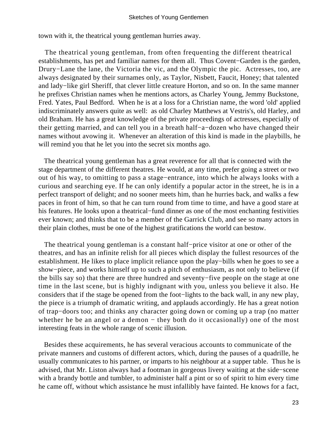town with it, the theatrical young gentleman hurries away.

 The theatrical young gentleman, from often frequenting the different theatrical establishments, has pet and familiar names for them all. Thus Covent−Garden is the garden, Drury−Lane the lane, the Victoria the vic, and the Olympic the pic. Actresses, too, are always designated by their surnames only, as Taylor, Nisbett, Faucit, Honey; that talented and lady−like girl Sheriff, that clever little creature Horton, and so on. In the same manner he prefixes Christian names when he mentions actors, as Charley Young, Jemmy Buckstone, Fred. Yates, Paul Bedford. When he is at a loss for a Christian name, the word 'old' applied indiscriminately answers quite as well: as old Charley Matthews at Vestris's, old Harley, and old Braham. He has a great knowledge of the private proceedings of actresses, especially of their getting married, and can tell you in a breath half−a−dozen who have changed their names without avowing it. Whenever an alteration of this kind is made in the playbills, he will remind you that he let you into the secret six months ago.

 The theatrical young gentleman has a great reverence for all that is connected with the stage department of the different theatres. He would, at any time, prefer going a street or two out of his way, to omitting to pass a stage−entrance, into which he always looks with a curious and searching eye. If he can only identify a popular actor in the street, he is in a perfect transport of delight; and no sooner meets him, than he hurries back, and walks a few paces in front of him, so that he can turn round from time to time, and have a good stare at his features. He looks upon a theatrical−fund dinner as one of the most enchanting festivities ever known; and thinks that to be a member of the Garrick Club, and see so many actors in their plain clothes, must be one of the highest gratifications the world can bestow.

 The theatrical young gentleman is a constant half−price visitor at one or other of the theatres, and has an infinite relish for all pieces which display the fullest resources of the establishment. He likes to place implicit reliance upon the play−bills when he goes to see a show−piece, and works himself up to such a pitch of enthusiasm, as not only to believe (if the bills say so) that there are three hundred and seventy−five people on the stage at one time in the last scene, but is highly indignant with you, unless you believe it also. He considers that if the stage be opened from the foot−lights to the back wall, in any new play, the piece is a triumph of dramatic writing, and applauds accordingly. He has a great notion of trap−doors too; and thinks any character going down or coming up a trap (no matter whether he be an angel or a demon – they both do it occasionally) one of the most interesting feats in the whole range of scenic illusion.

 Besides these acquirements, he has several veracious accounts to communicate of the private manners and customs of different actors, which, during the pauses of a quadrille, he usually communicates to his partner, or imparts to his neighbour at a supper table. Thus he is advised, that Mr. Liston always had a footman in gorgeous livery waiting at the side−scene with a brandy bottle and tumbler, to administer half a pint or so of spirit to him every time he came off, without which assistance he must infallibly have fainted. He knows for a fact,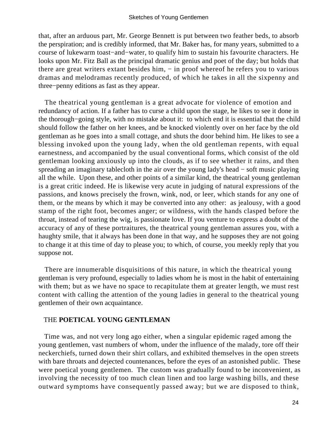that, after an arduous part, Mr. George Bennett is put between two feather beds, to absorb the perspiration; and is credibly informed, that Mr. Baker has, for many years, submitted to a course of lukewarm toast−and−water, to qualify him to sustain his favourite characters. He looks upon Mr. Fitz Ball as the principal dramatic genius and poet of the day; but holds that there are great writers extant besides him, – in proof whereof he refers you to various dramas and melodramas recently produced, of which he takes in all the sixpenny and three−penny editions as fast as they appear.

 The theatrical young gentleman is a great advocate for violence of emotion and redundancy of action. If a father has to curse a child upon the stage, he likes to see it done in the thorough−going style, with no mistake about it: to which end it is essential that the child should follow the father on her knees, and be knocked violently over on her face by the old gentleman as he goes into a small cottage, and shuts the door behind him. He likes to see a blessing invoked upon the young lady, when the old gentleman repents, with equal earnestness, and accompanied by the usual conventional forms, which consist of the old gentleman looking anxiously up into the clouds, as if to see whether it rains, and then spreading an imaginary tablecloth in the air over the young lady's head – soft music playing all the while. Upon these, and other points of a similar kind, the theatrical young gentleman is a great critic indeed. He is likewise very acute in judging of natural expressions of the passions, and knows precisely the frown, wink, nod, or leer, which stands for any one of them, or the means by which it may be converted into any other: as jealousy, with a good stamp of the right foot, becomes anger; or wildness, with the hands clasped before the throat, instead of tearing the wig, is passionate love. If you venture to express a doubt of the accuracy of any of these portraitures, the theatrical young gentleman assures you, with a haughty smile, that it always has been done in that way, and he supposes they are not going to change it at this time of day to please you; to which, of course, you meekly reply that you suppose not.

 There are innumerable disquisitions of this nature, in which the theatrical young gentleman is very profound, especially to ladies whom he is most in the habit of entertaining with them; but as we have no space to recapitulate them at greater length, we must rest content with calling the attention of the young ladies in general to the theatrical young gentlemen of their own acquaintance.

#### THE **POETICAL YOUNG GENTLEMAN**

 Time was, and not very long ago either, when a singular epidemic raged among the young gentlemen, vast numbers of whom, under the influence of the malady, tore off their neckerchiefs, turned down their shirt collars, and exhibited themselves in the open streets with bare throats and dejected countenances, before the eyes of an astonished public. These were poetical young gentlemen. The custom was gradually found to be inconvenient, as involving the necessity of too much clean linen and too large washing bills, and these outward symptoms have consequently passed away; but we are disposed to think,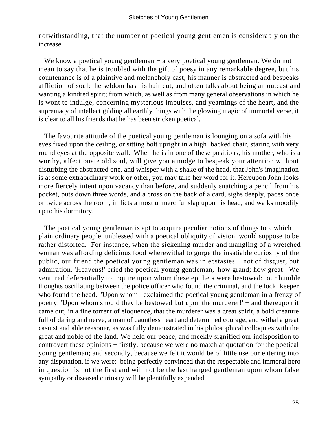notwithstanding, that the number of poetical young gentlemen is considerably on the increase.

 We know a poetical young gentleman − a very poetical young gentleman. We do not mean to say that he is troubled with the gift of poesy in any remarkable degree, but his countenance is of a plaintive and melancholy cast, his manner is abstracted and bespeaks affliction of soul: he seldom has his hair cut, and often talks about being an outcast and wanting a kindred spirit; from which, as well as from many general observations in which he is wont to indulge, concerning mysterious impulses, and yearnings of the heart, and the supremacy of intellect gilding all earthly things with the glowing magic of immortal verse, it is clear to all his friends that he has been stricken poetical.

 The favourite attitude of the poetical young gentleman is lounging on a sofa with his eyes fixed upon the ceiling, or sitting bolt upright in a high−backed chair, staring with very round eyes at the opposite wall. When he is in one of these positions, his mother, who is a worthy, affectionate old soul, will give you a nudge to bespeak your attention without disturbing the abstracted one, and whisper with a shake of the head, that John's imagination is at some extraordinary work or other, you may take her word for it. Hereupon John looks more fiercely intent upon vacancy than before, and suddenly snatching a pencil from his pocket, puts down three words, and a cross on the back of a card, sighs deeply, paces once or twice across the room, inflicts a most unmerciful slap upon his head, and walks moodily up to his dormitory.

 The poetical young gentleman is apt to acquire peculiar notions of things too, which plain ordinary people, unblessed with a poetical obliquity of vision, would suppose to be rather distorted. For instance, when the sickening murder and mangling of a wretched woman was affording delicious food wherewithal to gorge the insatiable curiosity of the public, our friend the poetical young gentleman was in ecstasies − not of disgust, but admiration. 'Heavens!' cried the poetical young gentleman, 'how grand; how great!' We ventured deferentially to inquire upon whom these epithets were bestowed: our humble thoughts oscillating between the police officer who found the criminal, and the lock−keeper who found the head. 'Upon whom!' exclaimed the poetical young gentleman in a frenzy of poetry, 'Upon whom should they be bestowed but upon the murderer!' – and thereupon it came out, in a fine torrent of eloquence, that the murderer was a great spirit, a bold creature full of daring and nerve, a man of dauntless heart and determined courage, and withal a great casuist and able reasoner, as was fully demonstrated in his philosophical colloquies with the great and noble of the land. We held our peace, and meekly signified our indisposition to controvert these opinions − firstly, because we were no match at quotation for the poetical young gentleman; and secondly, because we felt it would be of little use our entering into any disputation, if we were: being perfectly convinced that the respectable and immoral hero in question is not the first and will not be the last hanged gentleman upon whom false sympathy or diseased curiosity will be plentifully expended.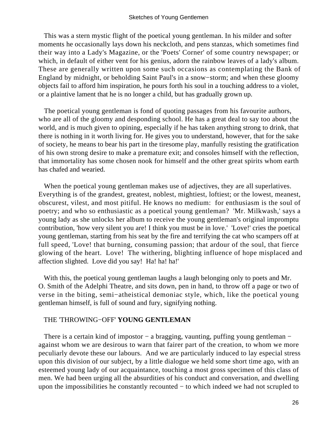#### Sketches of Young Gentlemen

 This was a stern mystic flight of the poetical young gentleman. In his milder and softer moments he occasionally lays down his neckcloth, and pens stanzas, which sometimes find their way into a Lady's Magazine, or the 'Poets' Corner' of some country newspaper; or which, in default of either vent for his genius, adorn the rainbow leaves of a lady's album. These are generally written upon some such occasions as contemplating the Bank of England by midnight, or beholding Saint Paul's in a snow−storm; and when these gloomy objects fail to afford him inspiration, he pours forth his soul in a touching address to a violet, or a plaintive lament that he is no longer a child, but has gradually grown up.

 The poetical young gentleman is fond of quoting passages from his favourite authors, who are all of the gloomy and desponding school. He has a great deal to say too about the world, and is much given to opining, especially if he has taken anything strong to drink, that there is nothing in it worth living for. He gives you to understand, however, that for the sake of society, he means to bear his part in the tiresome play, manfully resisting the gratification of his own strong desire to make a premature exit; and consoles himself with the reflection, that immortality has some chosen nook for himself and the other great spirits whom earth has chafed and wearied.

 When the poetical young gentleman makes use of adjectives, they are all superlatives. Everything is of the grandest, greatest, noblest, mightiest, loftiest; or the lowest, meanest, obscurest, vilest, and most pitiful. He knows no medium: for enthusiasm is the soul of poetry; and who so enthusiastic as a poetical young gentleman? 'Mr. Milkwash,' says a young lady as she unlocks her album to receive the young gentleman's original impromptu contribution, 'how very silent you are! I think you must be in love.' 'Love!' cries the poetical young gentleman, starting from his seat by the fire and terrifying the cat who scampers off at full speed, 'Love! that burning, consuming passion; that ardour of the soul, that fierce glowing of the heart. Love! The withering, blighting influence of hope misplaced and affection slighted. Love did you say! Ha! ha! ha!'

With this, the poetical young gentleman laughs a laugh belonging only to poets and Mr. O. Smith of the Adelphi Theatre, and sits down, pen in hand, to throw off a page or two of verse in the biting, semi−atheistical demoniac style, which, like the poetical young gentleman himself, is full of sound and fury, signifying nothing.

#### THE 'THROWING−OFF' **YOUNG GENTLEMAN**

There is a certain kind of impostor – a bragging, vaunting, puffing young gentleman – against whom we are desirous to warn that fairer part of the creation, to whom we more peculiarly devote these our labours. And we are particularly induced to lay especial stress upon this division of our subject, by a little dialogue we held some short time ago, with an esteemed young lady of our acquaintance, touching a most gross specimen of this class of men. We had been urging all the absurdities of his conduct and conversation, and dwelling upon the impossibilities he constantly recounted − to which indeed we had not scrupled to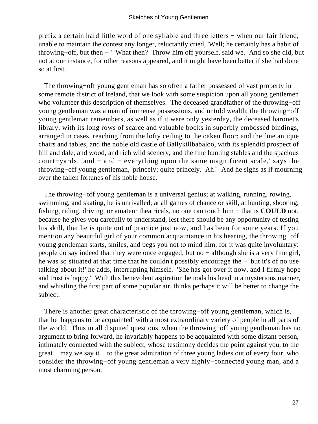prefix a certain hard little word of one syllable and three letters − when our fair friend, unable to maintain the contest any longer, reluctantly cried, 'Well; he certainly has a habit of throwing−off, but then − ' What then? Throw him off yourself, said we. And so she did, but not at our instance, for other reasons appeared, and it might have been better if she had done so at first.

 The throwing−off young gentleman has so often a father possessed of vast property in some remote district of Ireland, that we look with some suspicion upon all young gentlemen who volunteer this description of themselves. The deceased grandfather of the throwing−off young gentleman was a man of immense possessions, and untold wealth; the throwing−off young gentleman remembers, as well as if it were only yesterday, the deceased baronet's library, with its long rows of scarce and valuable books in superbly embossed bindings, arranged in cases, reaching from the lofty ceiling to the oaken floor; and the fine antique chairs and tables, and the noble old castle of Ballykillbabaloo, with its splendid prospect of hill and dale, and wood, and rich wild scenery, and the fine hunting stables and the spacious court−yards, 'and − and − everything upon the same magnificent scale,' says the throwing−off young gentleman, 'princely; quite princely. Ah!' And he sighs as if mourning over the fallen fortunes of his noble house.

The throwing–off young gentleman is a universal genius; at walking, running, rowing, swimming, and skating, he is unrivalled; at all games of chance or skill, at hunting, shooting, fishing, riding, driving, or amateur theatricals, no one can touch him − that is **COULD** not, because he gives you carefully to understand, lest there should be any opportunity of testing his skill, that he is quite out of practice just now, and has been for some years. If you mention any beautiful girl of your common acquaintance in his hearing, the throwing−off young gentleman starts, smiles, and begs you not to mind him, for it was quite involuntary: people do say indeed that they were once engaged, but no − although she is a very fine girl, he was so situated at that time that he couldn't possibly encourage the − 'but it's of no use talking about it!' he adds, interrupting himself. 'She has got over it now, and I firmly hope and trust is happy.' With this benevolent aspiration he nods his head in a mysterious manner, and whistling the first part of some popular air, thinks perhaps it will be better to change the subject.

There is another great characteristic of the throwing–off young gentleman, which is, that he 'happens to be acquainted' with a most extraordinary variety of people in all parts of the world. Thus in all disputed questions, when the throwing−off young gentleman has no argument to bring forward, he invariably happens to be acquainted with some distant person, intimately connected with the subject, whose testimony decides the point against you, to the great − may we say it − to the great admiration of three young ladies out of every four, who consider the throwing−off young gentleman a very highly−connected young man, and a most charming person.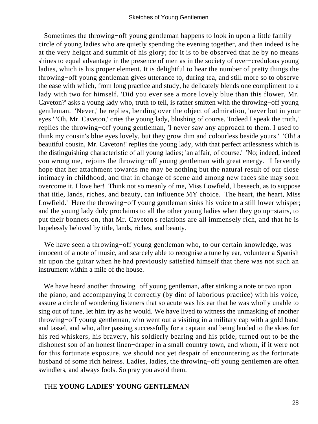Sometimes the throwing−off young gentleman happens to look in upon a little family circle of young ladies who are quietly spending the evening together, and then indeed is he at the very height and summit of his glory; for it is to be observed that he by no means shines to equal advantage in the presence of men as in the society of over−credulous young ladies, which is his proper element. It is delightful to hear the number of pretty things the throwing−off young gentleman gives utterance to, during tea, and still more so to observe the ease with which, from long practice and study, he delicately blends one compliment to a lady with two for himself. 'Did you ever see a more lovely blue than this flower, Mr. Caveton?' asks a young lady who, truth to tell, is rather smitten with the throwing−off young gentleman. 'Never,' he replies, bending over the object of admiration, 'never but in your eyes.' 'Oh, Mr. Caveton,' cries the young lady, blushing of course. 'Indeed I speak the truth,' replies the throwing−off young gentleman, 'I never saw any approach to them. I used to think my cousin's blue eyes lovely, but they grow dim and colourless beside yours.' 'Oh! a beautiful cousin, Mr. Caveton!' replies the young lady, with that perfect artlessness which is the distinguishing characteristic of all young ladies; 'an affair, of course.' 'No; indeed, indeed you wrong me,' rejoins the throwing−off young gentleman with great energy. 'I fervently hope that her attachment towards me may be nothing but the natural result of our close intimacy in childhood, and that in change of scene and among new faces she may soon overcome it. I love her! Think not so meanly of me, Miss Lowfield, I beseech, as to suppose that title, lands, riches, and beauty, can influence MY choice. The heart, the heart, Miss Lowfield.' Here the throwing−off young gentleman sinks his voice to a still lower whisper; and the young lady duly proclaims to all the other young ladies when they go up−stairs, to put their bonnets on, that Mr. Caveton's relations are all immensely rich, and that he is hopelessly beloved by title, lands, riches, and beauty.

 We have seen a throwing−off young gentleman who, to our certain knowledge, was innocent of a note of music, and scarcely able to recognise a tune by ear, volunteer a Spanish air upon the guitar when he had previously satisfied himself that there was not such an instrument within a mile of the house.

 We have heard another throwing−off young gentleman, after striking a note or two upon the piano, and accompanying it correctly (by dint of laborious practice) with his voice, assure a circle of wondering listeners that so acute was his ear that he was wholly unable to sing out of tune, let him try as he would. We have lived to witness the unmasking of another throwing−off young gentleman, who went out a visiting in a military cap with a gold band and tassel, and who, after passing successfully for a captain and being lauded to the skies for his red whiskers, his bravery, his soldierly bearing and his pride, turned out to be the dishonest son of an honest linen−draper in a small country town, and whom, if it were not for this fortunate exposure, we should not yet despair of encountering as the fortunate husband of some rich heiress. Ladies, ladies, the throwing−off young gentlemen are often swindlers, and always fools. So pray you avoid them.

#### THE **YOUNG LADIES' YOUNG GENTLEMAN**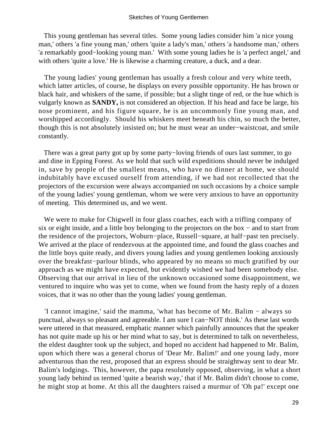This young gentleman has several titles. Some young ladies consider him 'a nice young man,' others 'a fine young man,' others 'quite a lady's man,' others 'a handsome man,' others 'a remarkably good−looking young man.' With some young ladies he is 'a perfect angel,' and with others 'quite a love.' He is likewise a charming creature, a duck, and a dear.

 The young ladies' young gentleman has usually a fresh colour and very white teeth, which latter articles, of course, he displays on every possible opportunity. He has brown or black hair, and whiskers of the same, if possible; but a slight tinge of red, or the hue which is vulgarly known as **SANDY,** is not considered an objection. If his head and face be large, his nose prominent, and his figure square, he is an uncommonly fine young man, and worshipped accordingly. Should his whiskers meet beneath his chin, so much the better, though this is not absolutely insisted on; but he must wear an under−waistcoat, and smile constantly.

 There was a great party got up by some party−loving friends of ours last summer, to go and dine in Epping Forest. As we hold that such wild expeditions should never be indulged in, save by people of the smallest means, who have no dinner at home, we should indubitably have excused ourself from attending, if we had not recollected that the projectors of the excursion were always accompanied on such occasions by a choice sample of the young ladies' young gentleman, whom we were very anxious to have an opportunity of meeting. This determined us, and we went.

We were to make for Chigwell in four glass coaches, each with a trifling company of six or eight inside, and a little boy belonging to the projectors on the box − and to start from the residence of the projectors, Woburn−place, Russell−square, at half−past ten precisely. We arrived at the place of rendezvous at the appointed time, and found the glass coaches and the little boys quite ready, and divers young ladies and young gentlemen looking anxiously over the breakfast−parlour blinds, who appeared by no means so much gratified by our approach as we might have expected, but evidently wished we had been somebody else. Observing that our arrival in lieu of the unknown occasioned some disappointment, we ventured to inquire who was yet to come, when we found from the hasty reply of a dozen voices, that it was no other than the young ladies' young gentleman.

 'I cannot imagine,' said the mamma, 'what has become of Mr. Balim − always so punctual, always so pleasant and agreeable. I am sure I can−NOT think.' As these last words were uttered in that measured, emphatic manner which painfully announces that the speaker has not quite made up his or her mind what to say, but is determined to talk on nevertheless, the eldest daughter took up the subject, and hoped no accident had happened to Mr. Balim, upon which there was a general chorus of 'Dear Mr. Balim!' and one young lady, more adventurous than the rest, proposed that an express should be straightway sent to dear Mr. Balim's lodgings. This, however, the papa resolutely opposed, observing, in what a short young lady behind us termed 'quite a bearish way,' that if Mr. Balim didn't choose to come, he might stop at home. At this all the daughters raised a murmur of 'Oh pa!' except one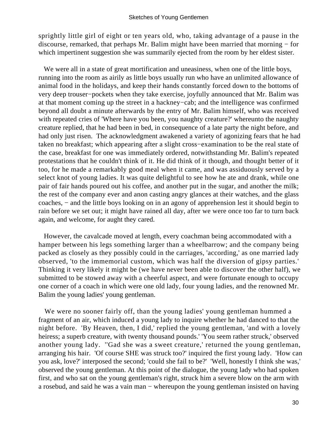sprightly little girl of eight or ten years old, who, taking advantage of a pause in the discourse, remarked, that perhaps Mr. Balim might have been married that morning − for which impertinent suggestion she was summarily ejected from the room by her eldest sister.

 We were all in a state of great mortification and uneasiness, when one of the little boys, running into the room as airily as little boys usually run who have an unlimited allowance of animal food in the holidays, and keep their hands constantly forced down to the bottoms of very deep trouser−pockets when they take exercise, joyfully announced that Mr. Balim was at that moment coming up the street in a hackney−cab; and the intelligence was confirmed beyond all doubt a minute afterwards by the entry of Mr. Balim himself, who was received with repeated cries of 'Where have you been, you naughty creature?' whereunto the naughty creature replied, that he had been in bed, in consequence of a late party the night before, and had only just risen. The acknowledgment awakened a variety of agonizing fears that he had taken no breakfast; which appearing after a slight cross−examination to be the real state of the case, breakfast for one was immediately ordered, notwithstanding Mr. Balim's repeated protestations that he couldn't think of it. He did think of it though, and thought better of it too, for he made a remarkably good meal when it came, and was assiduously served by a select knot of young ladies. It was quite delightful to see how he ate and drank, while one pair of fair hands poured out his coffee, and another put in the sugar, and another the milk; the rest of the company ever and anon casting angry glances at their watches, and the glass coaches, − and the little boys looking on in an agony of apprehension lest it should begin to rain before we set out; it might have rained all day, after we were once too far to turn back again, and welcome, for aught they cared.

 However, the cavalcade moved at length, every coachman being accommodated with a hamper between his legs something larger than a wheelbarrow; and the company being packed as closely as they possibly could in the carriages, 'according,' as one married lady observed, 'to the immemorial custom, which was half the diversion of gipsy parties.' Thinking it very likely it might be (we have never been able to discover the other half), we submitted to be stowed away with a cheerful aspect, and were fortunate enough to occupy one corner of a coach in which were one old lady, four young ladies, and the renowned Mr. Balim the young ladies' young gentleman.

 We were no sooner fairly off, than the young ladies' young gentleman hummed a fragment of an air, which induced a young lady to inquire whether he had danced to that the night before. 'By Heaven, then, I did,' replied the young gentleman, 'and with a lovely heiress; a superb creature, with twenty thousand pounds.' 'You seem rather struck,' observed another young lady. ''Gad she was a sweet creature,' returned the young gentleman, arranging his hair. 'Of course SHE was struck too?' inquired the first young lady. 'How can you ask, love?' interposed the second; 'could she fail to be?' 'Well, honestly I think she was,' observed the young gentleman. At this point of the dialogue, the young lady who had spoken first, and who sat on the young gentleman's right, struck him a severe blow on the arm with a rosebud, and said he was a vain man − whereupon the young gentleman insisted on having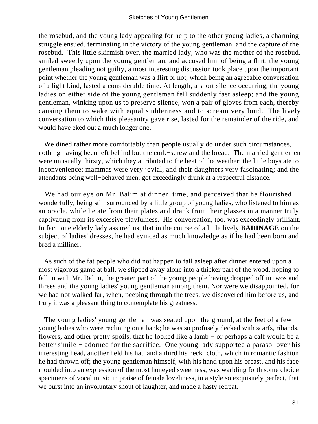the rosebud, and the young lady appealing for help to the other young ladies, a charming struggle ensued, terminating in the victory of the young gentleman, and the capture of the rosebud. This little skirmish over, the married lady, who was the mother of the rosebud, smiled sweetly upon the young gentleman, and accused him of being a flirt; the young gentleman pleading not guilty, a most interesting discussion took place upon the important point whether the young gentleman was a flirt or not, which being an agreeable conversation of a light kind, lasted a considerable time. At length, a short silence occurring, the young ladies on either side of the young gentleman fell suddenly fast asleep; and the young gentleman, winking upon us to preserve silence, won a pair of gloves from each, thereby causing them to wake with equal suddenness and to scream very loud. The lively conversation to which this pleasantry gave rise, lasted for the remainder of the ride, and would have eked out a much longer one.

We dined rather more comfortably than people usually do under such circumstances, nothing having been left behind but the cork−screw and the bread. The married gentlemen were unusually thirsty, which they attributed to the heat of the weather; the little boys ate to inconvenience; mammas were very jovial, and their daughters very fascinating; and the attendants being well−behaved men, got exceedingly drunk at a respectful distance.

 We had our eye on Mr. Balim at dinner−time, and perceived that he flourished wonderfully, being still surrounded by a little group of young ladies, who listened to him as an oracle, while he ate from their plates and drank from their glasses in a manner truly captivating from its excessive playfulness. His conversation, too, was exceedingly brilliant. In fact, one elderly lady assured us, that in the course of a little lively **BADINAGE** on the subject of ladies' dresses, he had evinced as much knowledge as if he had been born and bred a milliner.

 As such of the fat people who did not happen to fall asleep after dinner entered upon a most vigorous game at ball, we slipped away alone into a thicker part of the wood, hoping to fall in with Mr. Balim, the greater part of the young people having dropped off in twos and threes and the young ladies' young gentleman among them. Nor were we disappointed, for we had not walked far, when, peeping through the trees, we discovered him before us, and truly it was a pleasant thing to contemplate his greatness.

 The young ladies' young gentleman was seated upon the ground, at the feet of a few young ladies who were reclining on a bank; he was so profusely decked with scarfs, ribands, flowers, and other pretty spoils, that he looked like a lamb − or perhaps a calf would be a better simile − adorned for the sacrifice. One young lady supported a parasol over his interesting head, another held his hat, and a third his neck−cloth, which in romantic fashion he had thrown off; the young gentleman himself, with his hand upon his breast, and his face moulded into an expression of the most honeyed sweetness, was warbling forth some choice specimens of vocal music in praise of female loveliness, in a style so exquisitely perfect, that we burst into an involuntary shout of laughter, and made a hasty retreat.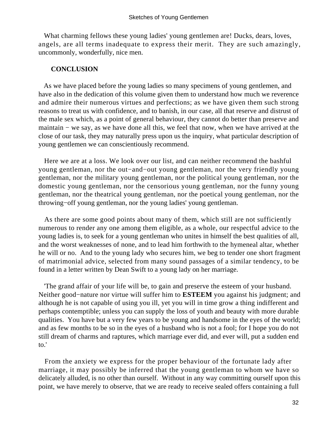What charming fellows these young ladies' young gentlemen are! Ducks, dears, loves, angels, are all terms inadequate to express their merit. They are such amazingly, uncommonly, wonderfully, nice men.

#### **CONCLUSION**

 As we have placed before the young ladies so many specimens of young gentlemen, and have also in the dedication of this volume given them to understand how much we reverence and admire their numerous virtues and perfections; as we have given them such strong reasons to treat us with confidence, and to banish, in our case, all that reserve and distrust of the male sex which, as a point of general behaviour, they cannot do better than preserve and maintain − we say, as we have done all this, we feel that now, when we have arrived at the close of our task, they may naturally press upon us the inquiry, what particular description of young gentlemen we can conscientiously recommend.

 Here we are at a loss. We look over our list, and can neither recommend the bashful young gentleman, nor the out−and−out young gentleman, nor the very friendly young gentleman, nor the military young gentleman, nor the political young gentleman, nor the domestic young gentleman, nor the censorious young gentleman, nor the funny young gentleman, nor the theatrical young gentleman, nor the poetical young gentleman, nor the throwing−off young gentleman, nor the young ladies' young gentleman.

 As there are some good points about many of them, which still are not sufficiently numerous to render any one among them eligible, as a whole, our respectful advice to the young ladies is, to seek for a young gentleman who unites in himself the best qualities of all, and the worst weaknesses of none, and to lead him forthwith to the hymeneal altar, whether he will or no. And to the young lady who secures him, we beg to tender one short fragment of matrimonial advice, selected from many sound passages of a similar tendency, to be found in a letter written by Dean Swift to a young lady on her marriage.

 'The grand affair of your life will be, to gain and preserve the esteem of your husband. Neither good−nature nor virtue will suffer him to **ESTEEM** you against his judgment; and although he is not capable of using you ill, yet you will in time grow a thing indifferent and perhaps contemptible; unless you can supply the loss of youth and beauty with more durable qualities. You have but a very few years to be young and handsome in the eyes of the world; and as few months to be so in the eyes of a husband who is not a fool; for I hope you do not still dream of charms and raptures, which marriage ever did, and ever will, put a sudden end to.'

 From the anxiety we express for the proper behaviour of the fortunate lady after marriage, it may possibly be inferred that the young gentleman to whom we have so delicately alluded, is no other than ourself. Without in any way committing ourself upon this point, we have merely to observe, that we are ready to receive sealed offers containing a full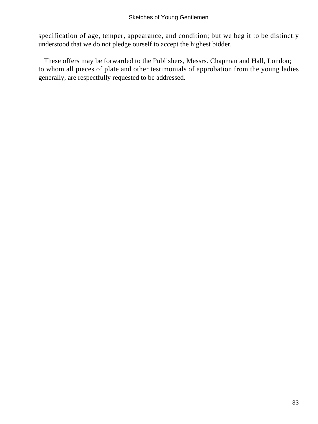specification of age, temper, appearance, and condition; but we beg it to be distinctly understood that we do not pledge ourself to accept the highest bidder.

 These offers may be forwarded to the Publishers, Messrs. Chapman and Hall, London; to whom all pieces of plate and other testimonials of approbation from the young ladies generally, are respectfully requested to be addressed.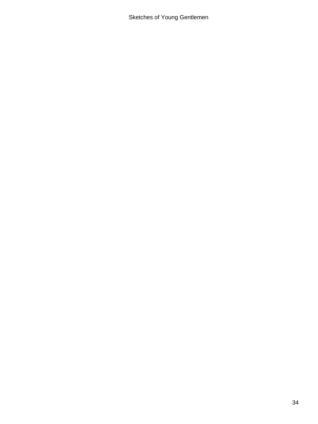Sketches of Young Gentlemen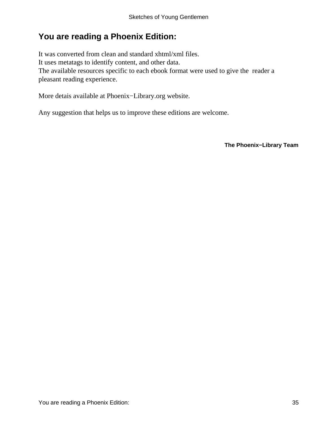# <span id="page-35-0"></span>**You are reading a Phoenix Edition:**

It was converted from clean and standard xhtml/xml files. It uses metatags to identify content, and other data. The available resources specific to each ebook format were used to give the reader a pleasant reading experience.

More detais available at Phoenix−Library.org website.

Any suggestion that helps us to improve these editions are welcome.

**The Phoenix−Library Team**